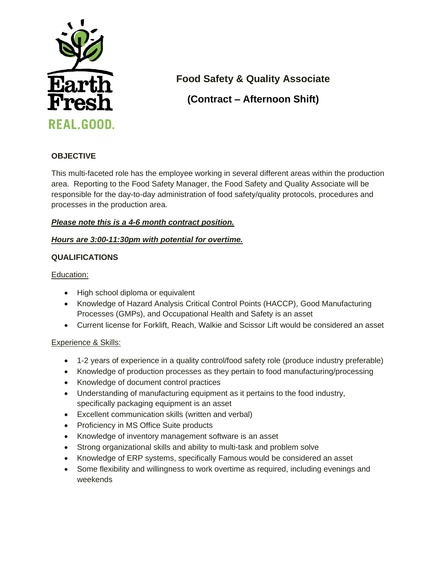

**Food Safety & Quality Associate**

**(Contract – Afternoon Shift)**

# **OBJECTIVE**

This multi-faceted role has the employee working in several different areas within the production area. Reporting to the Food Safety Manager, the Food Safety and Quality Associate will be responsible for the day-to-day administration of food safety/quality protocols, procedures and processes in the production area.

# *Please note this is a 4-6 month contract position.*

# *Hours are 3:00-11:30pm with potential for overtime.*

# **QUALIFICATIONS**

Education:

- High school diploma or equivalent
- Knowledge of Hazard Analysis Critical Control Points (HACCP), Good Manufacturing Processes (GMPs), and Occupational Health and Safety is an asset
- Current license for Forklift, Reach, Walkie and Scissor Lift would be considered an asset

### Experience & Skills:

- 1-2 years of experience in a quality control/food safety role (produce industry preferable)
- Knowledge of production processes as they pertain to food manufacturing/processing
- Knowledge of document control practices
- Understanding of manufacturing equipment as it pertains to the food industry, specifically packaging equipment is an asset
- Excellent communication skills (written and verbal)
- Proficiency in MS Office Suite products
- Knowledge of inventory management software is an asset
- Strong organizational skills and ability to multi-task and problem solve
- Knowledge of ERP systems, specifically Famous would be considered an asset
- Some flexibility and willingness to work overtime as required, including evenings and weekends